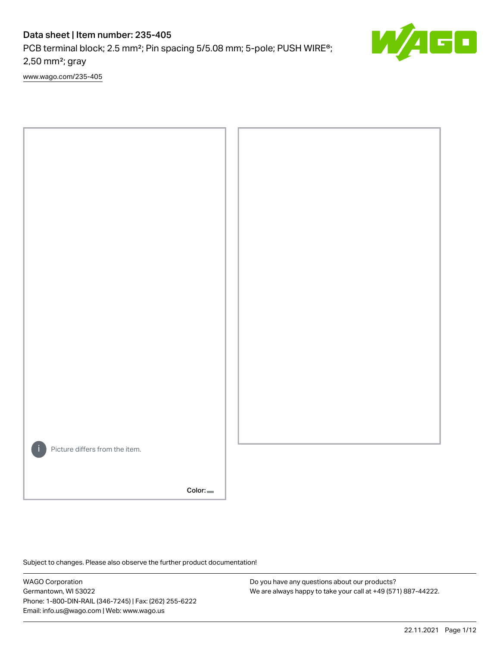PCB terminal block; 2.5 mm<sup>2</sup>; Pin spacing 5/5.08 mm; 5-pole; PUSH WIRE<sup>®</sup>; 2,50 mm²; gray

[www.wago.com/235-405](http://www.wago.com/235-405)



Color:

Subject to changes. Please also observe the further product documentation!

WAGO Corporation Germantown, WI 53022 Phone: 1-800-DIN-RAIL (346-7245) | Fax: (262) 255-6222 Email: info.us@wago.com | Web: www.wago.us

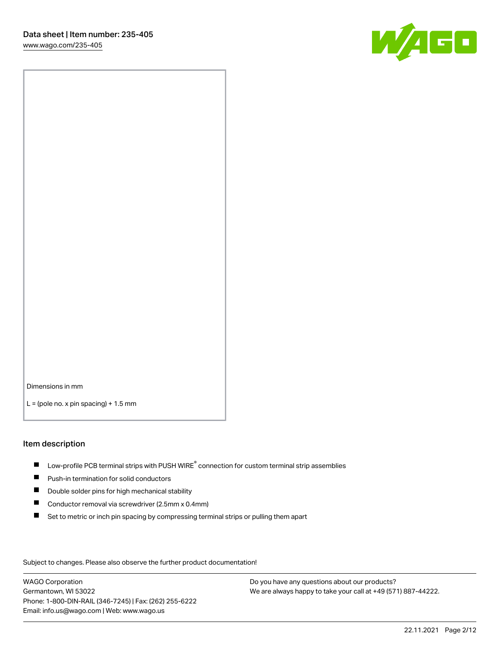

Dimensions in mm

 $L =$  (pole no. x pin spacing) + 1.5 mm

#### Item description

- $\blacksquare$  Low-profile PCB terminal strips with PUSH WIRE<sup>®</sup> connection for custom terminal strip assemblies
- **Push-in termination for solid conductors**
- $\blacksquare$ Double solder pins for high mechanical stability
- $\blacksquare$ Conductor removal via screwdriver (2.5mm x 0.4mm)
- $\blacksquare$ Set to metric or inch pin spacing by compressing terminal strips or pulling them apart

Subject to changes. Please also observe the further product documentation!

WAGO Corporation Germantown, WI 53022 Phone: 1-800-DIN-RAIL (346-7245) | Fax: (262) 255-6222 Email: info.us@wago.com | Web: www.wago.us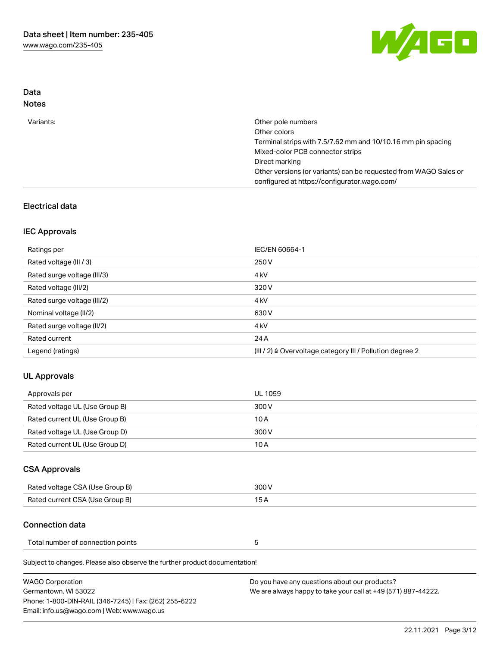

# Data Notes

| Variants: | Other pole numbers                                                                                               |
|-----------|------------------------------------------------------------------------------------------------------------------|
|           | Other colors                                                                                                     |
|           | Terminal strips with 7.5/7.62 mm and 10/10.16 mm pin spacing                                                     |
|           | Mixed-color PCB connector strips                                                                                 |
|           | Direct marking                                                                                                   |
|           | Other versions (or variants) can be requested from WAGO Sales or<br>configured at https://configurator.wago.com/ |
|           |                                                                                                                  |

# Electrical data

# IEC Approvals

| Ratings per                 | IEC/EN 60664-1                                                        |
|-----------------------------|-----------------------------------------------------------------------|
| Rated voltage (III / 3)     | 250 V                                                                 |
| Rated surge voltage (III/3) | 4 <sub>k</sub> V                                                      |
| Rated voltage (III/2)       | 320 V                                                                 |
| Rated surge voltage (III/2) | 4 <sub>k</sub> V                                                      |
| Nominal voltage (II/2)      | 630 V                                                                 |
| Rated surge voltage (II/2)  | 4 <sub>k</sub> V                                                      |
| Rated current               | 24 A                                                                  |
| Legend (ratings)            | $(III / 2)$ $\triangle$ Overvoltage category III / Pollution degree 2 |

# UL Approvals

| Approvals per                  | UL 1059 |
|--------------------------------|---------|
| Rated voltage UL (Use Group B) | 300 V   |
| Rated current UL (Use Group B) | 10 A    |
| Rated voltage UL (Use Group D) | 300 V   |
| Rated current UL (Use Group D) | 10 A    |

# CSA Approvals

| Rated voltage CSA (Use Group B) | 300 V |
|---------------------------------|-------|
| Rated current CSA (Use Group B) |       |

# Connection data

| Total number of connection points |  |
|-----------------------------------|--|
|-----------------------------------|--|

Subject to changes. Please also observe the further product documentation!

| WAGO Corporation                                       | Do you have any questions about our products?                 |
|--------------------------------------------------------|---------------------------------------------------------------|
| Germantown. WI 53022                                   | We are always happy to take your call at +49 (571) 887-44222. |
| Phone: 1-800-DIN-RAIL (346-7245)   Fax: (262) 255-6222 |                                                               |
| Email: info.us@wago.com   Web: www.wago.us             |                                                               |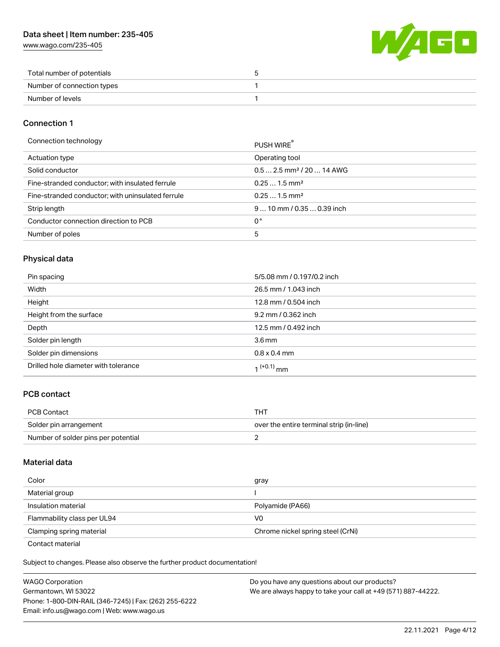[www.wago.com/235-405](http://www.wago.com/235-405)



| Total number of potentials |  |
|----------------------------|--|
| Number of connection types |  |
| Number of levels           |  |

# Connection 1

| Connection technology                             | PUSH WIRE <sup>®</sup>                 |
|---------------------------------------------------|----------------------------------------|
| Actuation type                                    | Operating tool                         |
| Solid conductor                                   | $0.5$ 2.5 mm <sup>2</sup> / 20  14 AWG |
| Fine-stranded conductor; with insulated ferrule   | $0.251.5$ mm <sup>2</sup>              |
| Fine-stranded conductor; with uninsulated ferrule | $0.251.5$ mm <sup>2</sup>              |
| Strip length                                      | $910$ mm / 0.35  0.39 inch             |
| Conductor connection direction to PCB             | 0°                                     |
| Number of poles                                   | 5                                      |

# Physical data

| Pin spacing                          | 5/5.08 mm / 0.197/0.2 inch |
|--------------------------------------|----------------------------|
| Width                                | 26.5 mm / 1.043 inch       |
| Height                               | 12.8 mm / 0.504 inch       |
| Height from the surface              | 9.2 mm / 0.362 inch        |
| Depth                                | 12.5 mm / 0.492 inch       |
| Solder pin length                    | 3.6 <sub>mm</sub>          |
| Solder pin dimensions                | $0.8 \times 0.4$ mm        |
| Drilled hole diameter with tolerance | 1 <sup>(+0.1)</sup> mm     |

# PCB contact

| <b>PCB Contact</b>                  | тнт                                      |
|-------------------------------------|------------------------------------------|
| Solder pin arrangement              | over the entire terminal strip (in-line) |
| Number of solder pins per potential |                                          |

## Material data

| Color                                            | gray                              |
|--------------------------------------------------|-----------------------------------|
| Material group                                   |                                   |
| Insulation material                              | Polyamide (PA66)                  |
| Flammability class per UL94                      | V0                                |
| Clamping spring material                         | Chrome nickel spring steel (CrNi) |
| $\sim$ $\sim$ $\sim$ $\sim$ $\sim$ $\sim$ $\sim$ |                                   |

Contact material

Subject to changes. Please also observe the further product documentation!  $\mathbf{E}$ 

| <b>WAGO Corporation</b>                                | Do you have any questions about our products?                 |
|--------------------------------------------------------|---------------------------------------------------------------|
| Germantown, WI 53022                                   | We are always happy to take your call at +49 (571) 887-44222. |
| Phone: 1-800-DIN-RAIL (346-7245)   Fax: (262) 255-6222 |                                                               |
| Email: info.us@wago.com   Web: www.wago.us             |                                                               |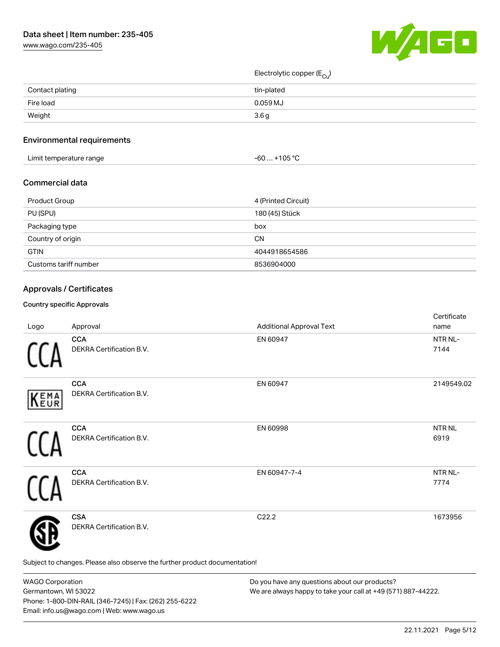[www.wago.com/235-405](http://www.wago.com/235-405)



Electrolytic copper (E<sub>Cu</sub>)

| Contact plating | tin-plated |
|-----------------|------------|
| Fire load       | 0.059 MJ   |
| Weight          | 3.6g       |

# Environmental requirements

| Limit temperature range | +105 °C<br>-60 |
|-------------------------|----------------|
|-------------------------|----------------|

# Commercial data

| Product Group         | 4 (Printed Circuit) |
|-----------------------|---------------------|
| PU (SPU)              | 180 (45) Stück      |
| Packaging type        | box                 |
| Country of origin     | CΝ                  |
| <b>GTIN</b>           | 4044918654586       |
| Customs tariff number | 8536904000          |

# Approvals / Certificates

### Country specific Approvals

| Logo | Approval                                                                   | <b>Additional Approval Text</b> | Certificate<br>name |
|------|----------------------------------------------------------------------------|---------------------------------|---------------------|
|      | <b>CCA</b><br>DEKRA Certification B.V.                                     | EN 60947                        | NTR NL-<br>7144     |
| KEMA | <b>CCA</b><br>DEKRA Certification B.V.                                     | EN 60947                        | 2149549.02          |
|      | <b>CCA</b><br>DEKRA Certification B.V.                                     | EN 60998                        | NTR NL<br>6919      |
|      | <b>CCA</b><br>DEKRA Certification B.V.                                     | EN 60947-7-4                    | NTR NL-<br>7774     |
|      | <b>CSA</b><br>DEKRA Certification B.V.                                     | C22.2                           | 1673956             |
|      | Subject to changes. Please also observe the further product documentation! |                                 |                     |

WAGO Corporation Germantown, WI 53022 Phone: 1-800-DIN-RAIL (346-7245) | Fax: (262) 255-6222 Email: info.us@wago.com | Web: www.wago.us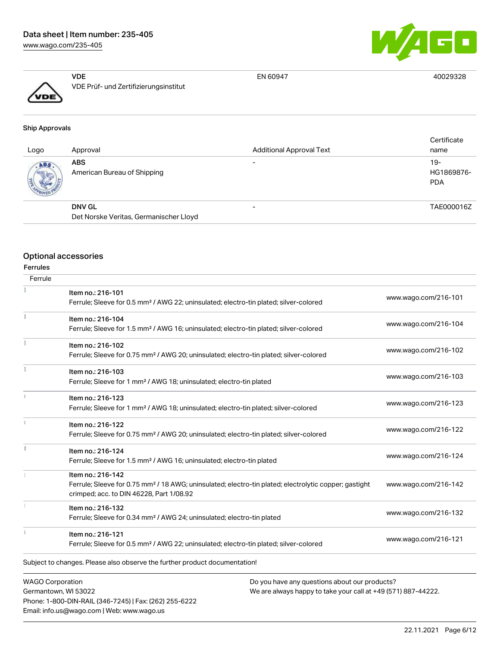[www.wago.com/235-405](http://www.wago.com/235-405)





VDE VDE Prüf- und Zertifizierungsinstitut

EN 60947 40029328

| <b>Ship Approvals</b> |                                        |                                 |                     |
|-----------------------|----------------------------------------|---------------------------------|---------------------|
| Logo                  | Approval                               | <b>Additional Approval Text</b> | Certificate<br>name |
| ABS.                  | <b>ABS</b>                             | $\overline{\phantom{0}}$        | $19-$               |
|                       | American Bureau of Shipping            |                                 | HG1869876-          |
|                       |                                        |                                 | <b>PDA</b>          |
|                       | <b>DNV GL</b>                          | $\overline{\phantom{0}}$        | TAE000016Z          |
|                       | Det Norske Veritas, Germanischer Lloyd |                                 |                     |

# Optional accessories

|  | Ferrules |
|--|----------|

| Ferrule                                         |                                                                                                                                                                                    |                                                                                                                |                      |
|-------------------------------------------------|------------------------------------------------------------------------------------------------------------------------------------------------------------------------------------|----------------------------------------------------------------------------------------------------------------|----------------------|
|                                                 | Item no.: 216-101<br>Ferrule; Sleeve for 0.5 mm <sup>2</sup> / AWG 22; uninsulated; electro-tin plated; silver-colored                                                             |                                                                                                                | www.wago.com/216-101 |
| î.                                              | Item no.: 216-104<br>Ferrule; Sleeve for 1.5 mm <sup>2</sup> / AWG 16; uninsulated; electro-tin plated; silver-colored                                                             |                                                                                                                | www.wago.com/216-104 |
| ł                                               | Item no.: 216-102<br>Ferrule; Sleeve for 0.75 mm <sup>2</sup> / AWG 20; uninsulated; electro-tin plated; silver-colored                                                            |                                                                                                                | www.wago.com/216-102 |
|                                                 | Item no.: 216-103<br>Ferrule; Sleeve for 1 mm <sup>2</sup> / AWG 18; uninsulated; electro-tin plated                                                                               |                                                                                                                | www.wago.com/216-103 |
| î.                                              | Item no.: 216-123<br>Ferrule; Sleeve for 1 mm <sup>2</sup> / AWG 18; uninsulated; electro-tin plated; silver-colored                                                               |                                                                                                                | www.wago.com/216-123 |
| î.                                              | Item no.: 216-122<br>Ferrule; Sleeve for 0.75 mm <sup>2</sup> / AWG 20; uninsulated; electro-tin plated; silver-colored                                                            |                                                                                                                | www.wago.com/216-122 |
| I                                               | Item no.: 216-124<br>Ferrule; Sleeve for 1.5 mm <sup>2</sup> / AWG 16; uninsulated; electro-tin plated                                                                             |                                                                                                                | www.wago.com/216-124 |
|                                                 | Item no.: 216-142<br>Ferrule; Sleeve for 0.75 mm <sup>2</sup> / 18 AWG; uninsulated; electro-tin plated; electrolytic copper; gastight<br>crimped; acc. to DIN 46228, Part 1/08.92 |                                                                                                                | www.wago.com/216-142 |
|                                                 | Item no.: 216-132<br>Ferrule; Sleeve for 0.34 mm <sup>2</sup> / AWG 24; uninsulated; electro-tin plated                                                                            |                                                                                                                | www.wago.com/216-132 |
| 1                                               | Item no.: 216-121<br>Ferrule; Sleeve for 0.5 mm <sup>2</sup> / AWG 22; uninsulated; electro-tin plated; silver-colored                                                             |                                                                                                                | www.wago.com/216-121 |
|                                                 | Subject to changes. Please also observe the further product documentation!                                                                                                         |                                                                                                                |                      |
| <b>WAGO Corporation</b><br>Germantown, WI 53022 | Phone: 1-800-DIN-RAIL (346-7245)   Fax: (262) 255-6222                                                                                                                             | Do you have any questions about our products?<br>We are always happy to take your call at +49 (571) 887-44222. |                      |

Email: info.us@wago.com | Web: www.wago.us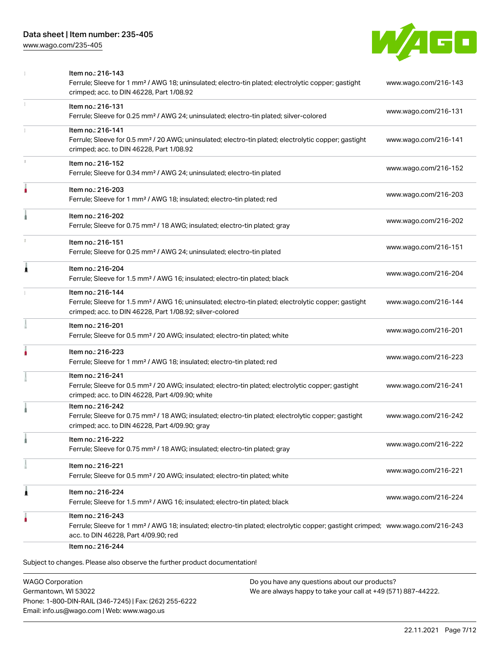[www.wago.com/235-405](http://www.wago.com/235-405)



|   | Item no.: 216-143<br>Ferrule; Sleeve for 1 mm <sup>2</sup> / AWG 18; uninsulated; electro-tin plated; electrolytic copper; gastight<br>crimped; acc. to DIN 46228, Part 1/08.92                         | www.wago.com/216-143 |
|---|---------------------------------------------------------------------------------------------------------------------------------------------------------------------------------------------------------|----------------------|
|   | Item no.: 216-131<br>Ferrule; Sleeve for 0.25 mm <sup>2</sup> / AWG 24; uninsulated; electro-tin plated; silver-colored                                                                                 | www.wago.com/216-131 |
|   | Item no.: 216-141<br>Ferrule; Sleeve for 0.5 mm <sup>2</sup> / 20 AWG; uninsulated; electro-tin plated; electrolytic copper; gastight<br>crimped; acc. to DIN 46228, Part 1/08.92                       | www.wago.com/216-141 |
|   | Item no.: 216-152<br>Ferrule; Sleeve for 0.34 mm <sup>2</sup> / AWG 24; uninsulated; electro-tin plated                                                                                                 | www.wago.com/216-152 |
| ۸ | Item no.: 216-203<br>Ferrule; Sleeve for 1 mm <sup>2</sup> / AWG 18; insulated; electro-tin plated; red                                                                                                 | www.wago.com/216-203 |
|   | Item no.: 216-202<br>Ferrule; Sleeve for 0.75 mm <sup>2</sup> / 18 AWG; insulated; electro-tin plated; gray                                                                                             | www.wago.com/216-202 |
|   | Item no.: 216-151<br>Ferrule; Sleeve for 0.25 mm <sup>2</sup> / AWG 24; uninsulated; electro-tin plated                                                                                                 | www.wago.com/216-151 |
| Â | Item no.: 216-204<br>Ferrule; Sleeve for 1.5 mm <sup>2</sup> / AWG 16; insulated; electro-tin plated; black                                                                                             | www.wago.com/216-204 |
|   | Item no.: 216-144<br>Ferrule; Sleeve for 1.5 mm <sup>2</sup> / AWG 16; uninsulated; electro-tin plated; electrolytic copper; gastight<br>crimped; acc. to DIN 46228, Part 1/08.92; silver-colored       | www.wago.com/216-144 |
|   | Item no.: 216-201<br>Ferrule; Sleeve for 0.5 mm <sup>2</sup> / 20 AWG; insulated; electro-tin plated; white                                                                                             | www.wago.com/216-201 |
|   | Item no.: 216-223<br>Ferrule; Sleeve for 1 mm <sup>2</sup> / AWG 18; insulated; electro-tin plated; red                                                                                                 | www.wago.com/216-223 |
|   | Item no.: 216-241<br>Ferrule; Sleeve for 0.5 mm <sup>2</sup> / 20 AWG; insulated; electro-tin plated; electrolytic copper; gastight<br>crimped; acc. to DIN 46228, Part 4/09.90; white                  | www.wago.com/216-241 |
|   | Item no.: 216-242<br>Ferrule; Sleeve for 0.75 mm <sup>2</sup> / 18 AWG; insulated; electro-tin plated; electrolytic copper; gastight<br>crimped; acc. to DIN 46228, Part 4/09.90; gray                  | www.wago.com/216-242 |
|   | Item no.: 216-222<br>Ferrule; Sleeve for 0.75 mm <sup>2</sup> / 18 AWG; insulated; electro-tin plated; gray                                                                                             | www.wago.com/216-222 |
|   | Item no.: 216-221<br>Ferrule; Sleeve for 0.5 mm <sup>2</sup> / 20 AWG; insulated; electro-tin plated; white                                                                                             | www.wago.com/216-221 |
| 1 | Item no.: 216-224<br>Ferrule; Sleeve for 1.5 mm <sup>2</sup> / AWG 16; insulated; electro-tin plated; black                                                                                             | www.wago.com/216-224 |
|   | Item no.: 216-243<br>Ferrule; Sleeve for 1 mm <sup>2</sup> / AWG 18; insulated; electro-tin plated; electrolytic copper; gastight crimped; www.wago.com/216-243<br>acc. to DIN 46228, Part 4/09.90; red |                      |
|   | Item no.: 216-244<br>Subject to changes Please also observe the further product documentation                                                                                                           |                      |

Subject to changes. Please also observe the further product documentation!

WAGO Corporation Germantown, WI 53022 Phone: 1-800-DIN-RAIL (346-7245) | Fax: (262) 255-6222 Email: info.us@wago.com | Web: www.wago.us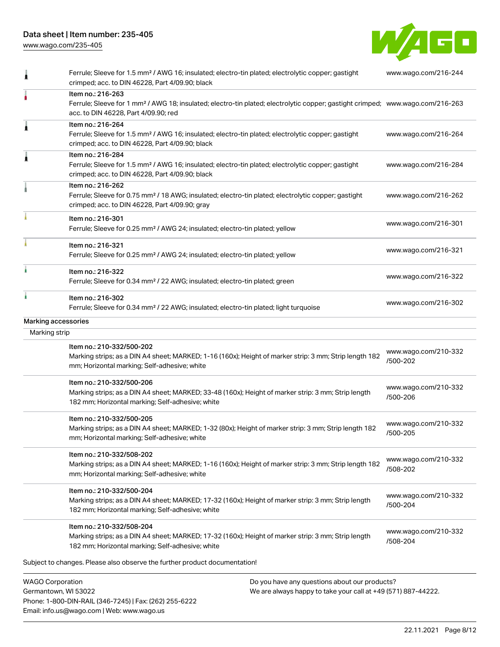[www.wago.com/235-405](http://www.wago.com/235-405)



| 10000               |                                                                                                                                                                                                         |                                  |
|---------------------|---------------------------------------------------------------------------------------------------------------------------------------------------------------------------------------------------------|----------------------------------|
|                     | Subject to changes. Please also observe the further product documentation!                                                                                                                              |                                  |
|                     | Marking strips; as a DIN A4 sheet; MARKED; 17-32 (160x); Height of marker strip: 3 mm; Strip length<br>182 mm; Horizontal marking; Self-adhesive; white                                                 | www.wago.com/210-332<br>/508-204 |
|                     | Item no.: 210-332/508-204                                                                                                                                                                               |                                  |
|                     | Item no.: 210-332/500-204<br>Marking strips; as a DIN A4 sheet; MARKED; 17-32 (160x); Height of marker strip: 3 mm; Strip length<br>182 mm; Horizontal marking; Self-adhesive; white                    | www.wago.com/210-332<br>/500-204 |
|                     | Item no.: 210-332/508-202<br>Marking strips; as a DIN A4 sheet; MARKED; 1-16 (160x); Height of marker strip: 3 mm; Strip length 182<br>mm; Horizontal marking; Self-adhesive; white                     | www.wago.com/210-332<br>/508-202 |
|                     | Item no.: 210-332/500-205<br>Marking strips; as a DIN A4 sheet; MARKED; 1-32 (80x); Height of marker strip: 3 mm; Strip length 182<br>mm; Horizontal marking; Self-adhesive; white                      | www.wago.com/210-332<br>/500-205 |
|                     | Item no.: 210-332/500-206<br>Marking strips; as a DIN A4 sheet; MARKED; 33-48 (160x); Height of marker strip: 3 mm; Strip length<br>182 mm; Horizontal marking; Self-adhesive; white                    | www.wago.com/210-332<br>/500-206 |
|                     | Item no.: 210-332/500-202<br>Marking strips; as a DIN A4 sheet; MARKED; 1-16 (160x); Height of marker strip: 3 mm; Strip length 182<br>mm; Horizontal marking; Self-adhesive; white                     | www.wago.com/210-332<br>/500-202 |
| Marking strip       |                                                                                                                                                                                                         |                                  |
| Marking accessories | Item no.: 216-302<br>Ferrule; Sleeve for 0.34 mm <sup>2</sup> / 22 AWG; insulated; electro-tin plated; light turquoise                                                                                  | www.wago.com/216-302             |
|                     | Item no.: 216-322<br>Ferrule; Sleeve for 0.34 mm <sup>2</sup> / 22 AWG; insulated; electro-tin plated; green                                                                                            | www.wago.com/216-322             |
|                     | Item no.: 216-321<br>Ferrule; Sleeve for 0.25 mm <sup>2</sup> / AWG 24; insulated; electro-tin plated; yellow                                                                                           | www.wago.com/216-321             |
|                     | Item no.: 216-301<br>Ferrule; Sleeve for 0.25 mm <sup>2</sup> / AWG 24; insulated; electro-tin plated; yellow                                                                                           | www.wago.com/216-301             |
|                     | Item no.: 216-262<br>Ferrule; Sleeve for 0.75 mm <sup>2</sup> / 18 AWG; insulated; electro-tin plated; electrolytic copper; gastight<br>crimped; acc. to DIN 46228, Part 4/09.90; gray                  | www.wago.com/216-262             |
|                     | Item no.: 216-284<br>Ferrule; Sleeve for 1.5 mm <sup>2</sup> / AWG 16; insulated; electro-tin plated; electrolytic copper; gastight<br>crimped; acc. to DIN 46228, Part 4/09.90; black                  | www.wago.com/216-284             |
| Â                   | Item no.: 216-264<br>Ferrule; Sleeve for 1.5 mm <sup>2</sup> / AWG 16; insulated; electro-tin plated; electrolytic copper; gastight<br>crimped; acc. to DIN 46228, Part 4/09.90; black                  | www.wago.com/216-264             |
|                     | Item no.: 216-263<br>Ferrule; Sleeve for 1 mm <sup>2</sup> / AWG 18; insulated; electro-tin plated; electrolytic copper; gastight crimped; www.wago.com/216-263<br>acc. to DIN 46228, Part 4/09.90; red |                                  |
| 1                   | Ferrule; Sleeve for 1.5 mm <sup>2</sup> / AWG 16; insulated; electro-tin plated; electrolytic copper; gastight<br>crimped; acc. to DIN 46228, Part 4/09.90; black                                       | www.wago.com/216-244             |

WAGO Corporation Germantown, WI 53022 Phone: 1-800-DIN-RAIL (346-7245) | Fax: (262) 255-6222 Email: info.us@wago.com | Web: www.wago.us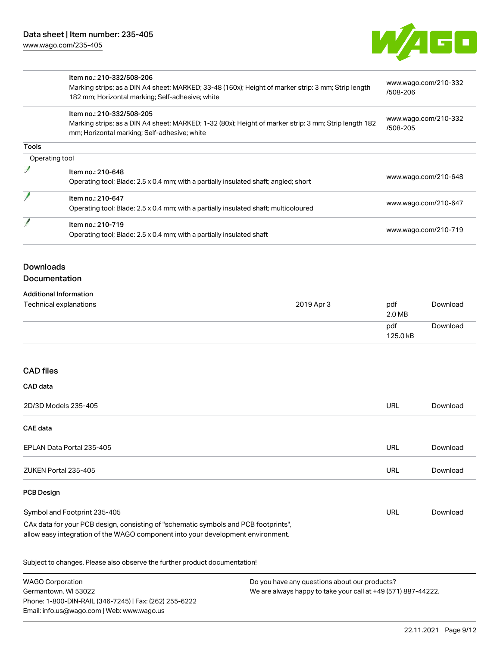

|                | Item no.: 210-332/508-206<br>Marking strips; as a DIN A4 sheet; MARKED; 33-48 (160x); Height of marker strip: 3 mm; Strip length<br>182 mm; Horizontal marking; Self-adhesive; white | www.wago.com/210-332<br>/508-206 |
|----------------|--------------------------------------------------------------------------------------------------------------------------------------------------------------------------------------|----------------------------------|
|                | Item no.: 210-332/508-205<br>Marking strips; as a DIN A4 sheet; MARKED; 1-32 (80x); Height of marker strip: 3 mm; Strip length 182<br>mm; Horizontal marking; Self-adhesive; white   | www.wago.com/210-332<br>/508-205 |
| Tools          |                                                                                                                                                                                      |                                  |
| Operating tool |                                                                                                                                                                                      |                                  |
|                | Item no.: 210-648<br>Operating tool; Blade: 2.5 x 0.4 mm; with a partially insulated shaft; angled; short                                                                            | www.wago.com/210-648             |
|                | Item no.: 210-647<br>Operating tool; Blade: 2.5 x 0.4 mm; with a partially insulated shaft; multicoloured                                                                            | www.wago.com/210-647             |
|                | Item no.: 210-719<br>Operating tool; Blade: 2.5 x 0.4 mm; with a partially insulated shaft                                                                                           | www.wago.com/210-719             |

# Downloads

# Documentation

| <b>Additional Information</b>                                                                                                                                          |            |                 |          |
|------------------------------------------------------------------------------------------------------------------------------------------------------------------------|------------|-----------------|----------|
| <b>Technical explanations</b>                                                                                                                                          | 2019 Apr 3 | pdf<br>2.0 MB   | Download |
|                                                                                                                                                                        |            | pdf<br>125.0 kB | Download |
| <b>CAD files</b>                                                                                                                                                       |            |                 |          |
| CAD data                                                                                                                                                               |            |                 |          |
| 2D/3D Models 235-405                                                                                                                                                   |            | <b>URL</b>      | Download |
| <b>CAE</b> data                                                                                                                                                        |            |                 |          |
| EPLAN Data Portal 235-405                                                                                                                                              |            | <b>URL</b>      | Download |
| ZUKEN Portal 235-405                                                                                                                                                   |            | URL             | Download |
| <b>PCB Design</b>                                                                                                                                                      |            |                 |          |
| Symbol and Footprint 235-405                                                                                                                                           |            | URL             | Download |
| CAx data for your PCB design, consisting of "schematic symbols and PCB footprints",<br>allow easy integration of the WAGO component into your development environment. |            |                 |          |
| Subject to changes. Please also observe the further product documentation!                                                                                             |            |                 |          |

| <b>WAGO Corporation</b>                                |
|--------------------------------------------------------|
| Germantown, WI 53022                                   |
| Phone: 1-800-DIN-RAIL (346-7245)   Fax: (262) 255-6222 |
| Email: info.us@wago.com   Web: www.wago.us             |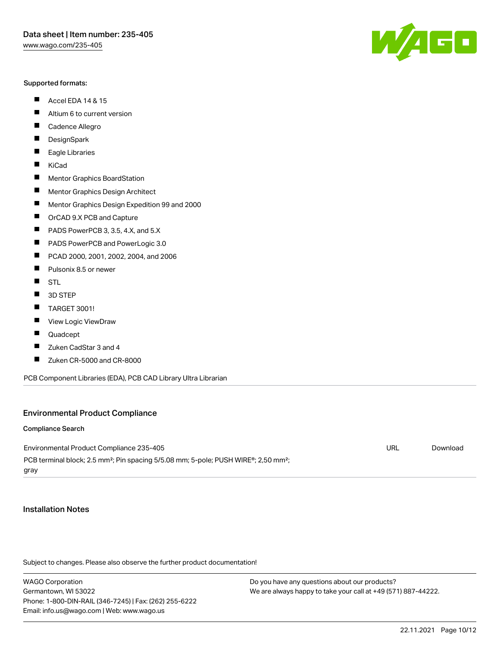#### Supported formats:

- $\blacksquare$ Accel EDA 14 & 15
- $\blacksquare$ Altium 6 to current version
- $\blacksquare$ Cadence Allegro
- $\blacksquare$ **DesignSpark**
- $\blacksquare$ Eagle Libraries
- $\blacksquare$ KiCad
- $\blacksquare$ Mentor Graphics BoardStation
- $\blacksquare$ Mentor Graphics Design Architect
- $\blacksquare$ Mentor Graphics Design Expedition 99 and 2000
- $\blacksquare$ OrCAD 9.X PCB and Capture
- $\blacksquare$ PADS PowerPCB 3, 3.5, 4.X, and 5.X
- $\blacksquare$ PADS PowerPCB and PowerLogic 3.0
- $\blacksquare$ PCAD 2000, 2001, 2002, 2004, and 2006
- $\blacksquare$ Pulsonix 8.5 or newer
- $\blacksquare$ STL
- $\blacksquare$ 3D STEP
- П TARGET 3001!
- $\blacksquare$ View Logic ViewDraw
- П Quadcept
- $\blacksquare$ Zuken CadStar 3 and 4
- Zuken CR-5000 and CR-8000 П

PCB Component Libraries (EDA), PCB CAD Library Ultra Librarian

## Environmental Product Compliance

#### Compliance Search

Environmental Product Compliance 235-405 PCB terminal block; 2.5 mm<sup>2</sup>; Pin spacing 5/5.08 mm; 5-pole; PUSH WIRE<sup>®</sup>; 2,50 mm<sup>2</sup>; gray URL [Download](https://www.wago.com/global/d/ComplianceLinkMediaContainer_235-405)

### Installation Notes

Subject to changes. Please also observe the further product documentation!

WAGO Corporation Germantown, WI 53022 Phone: 1-800-DIN-RAIL (346-7245) | Fax: (262) 255-6222 Email: info.us@wago.com | Web: www.wago.us

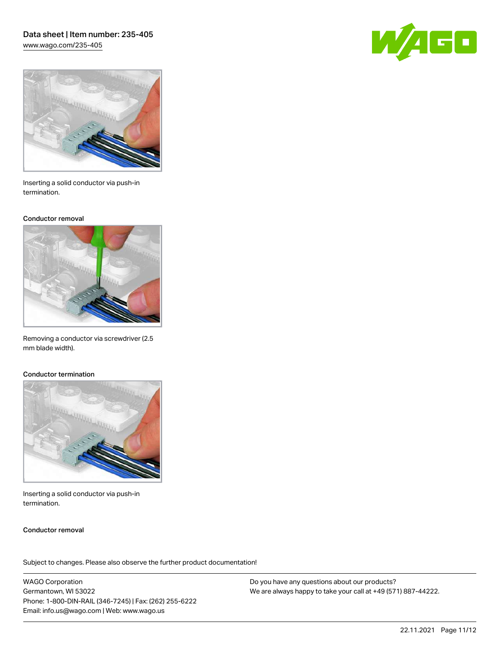# Data sheet | Item number: 235-405 [www.wago.com/235-405](http://www.wago.com/235-405)





Inserting a solid conductor via push-in termination.

#### Conductor removal



Removing a conductor via screwdriver (2.5 mm blade width).

#### Conductor termination



Inserting a solid conductor via push-in termination.

## Conductor removal

Subject to changes. Please also observe the further product documentation!

WAGO Corporation Germantown, WI 53022 Phone: 1-800-DIN-RAIL (346-7245) | Fax: (262) 255-6222 Email: info.us@wago.com | Web: www.wago.us